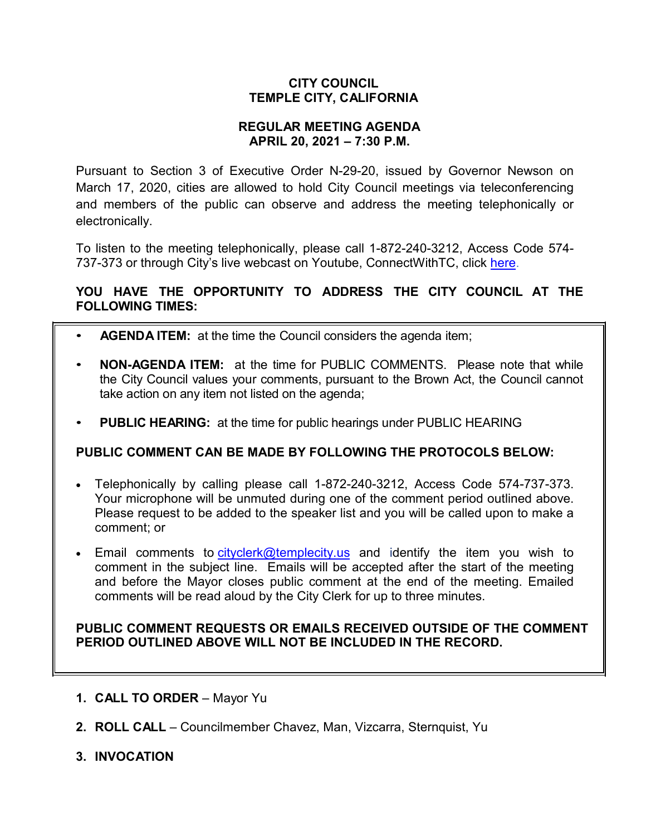# **CITY COUNCIL TEMPLE CITY, CALIFORNIA**

### **REGULAR MEETING AGENDA APRIL 20, 2021 – 7:30 P.M.**

Pursuant to Section 3 of Executive Order N-29-20, issued by Governor Newson on March 17, 2020, cities are allowed to hold City Council meetings via teleconferencing and members of the public can observe and address the meeting telephonically or electronically.

To listen to the meeting telephonically, please call 1-872-240-3212, Access Code 574 737-373 or through City's live webcast on Youtube, ConnectWithTC, click [here.](https://www.ci.temple-city.ca.us/516/Meeting-Webcast)

# **YOU HAVE THE OPPORTUNITY TO ADDRESS THE CITY COUNCIL AT THE FOLLOWING TIMES:**

- **AGENDA ITEM:** at the time the Council considers the agenda item;
- **NON-AGENDA ITEM:** at the time for PUBLIC COMMENTS. Please note that while the City Council values your comments, pursuant to the Brown Act, the Council cannot take action on any item not listed on the agenda;
- **PUBLIC HEARING:** at the time for public hearings under PUBLIC HEARING

# **PUBLIC COMMENT CAN BE MADE BY FOLLOWING THE PROTOCOLS BELOW:**

- Telephonically by calling please call 1-872-240-3212, Access Code 574-737-373. Your microphone will be unmuted during one of the comment period outlined above. Please request to be added to the speaker list and you will be called upon to make a comment; or
- Email comments to [cityclerk@templecity.us](mailto:cityclerk@templecity.us) and identify the item you wish to comment in the subject line. Emails will be accepted after the start of the meeting and before the Mayor closes public comment at the end of the meeting. Emailed comments will be read aloud by the City Clerk for up to three minutes.

### **PUBLIC COMMENT REQUESTS OR EMAILS RECEIVED OUTSIDE OF THE COMMENT PERIOD OUTLINED ABOVE WILL NOT BE INCLUDED IN THE RECORD.**

- **1. CALL TO ORDER**  Mayor Yu
- **2. ROLL CALL**  Councilmember Chavez, Man, Vizcarra, Sternquist, Yu
- **3. INVOCATION**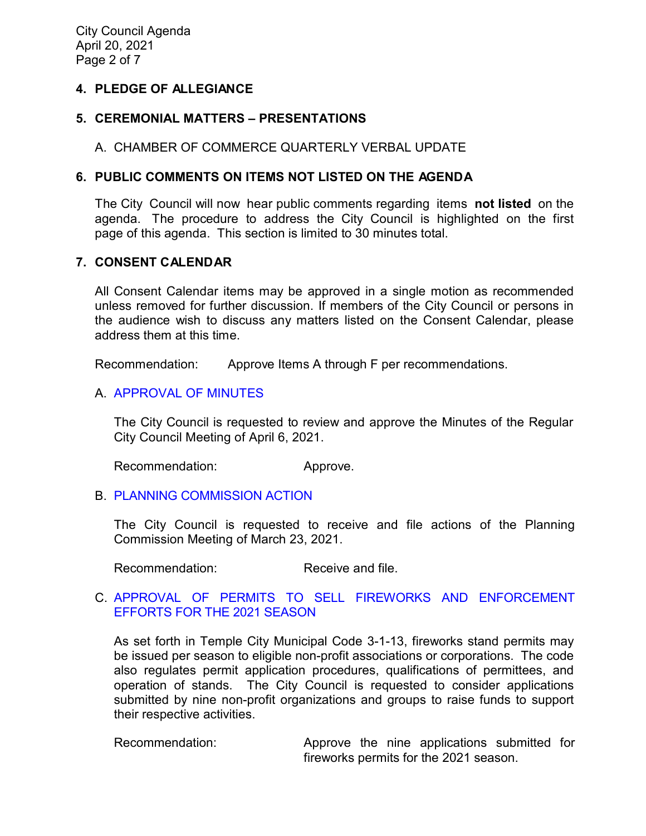# **4. PLEDGE OF ALLEGIANCE**

### **5. CEREMONIAL MATTERS – PRESENTATIONS**

### A. CHAMBER OF COMMERCE QUARTERLY VERBAL UPDATE

### **6. PUBLIC COMMENTS ON ITEMS NOT LISTED ON THE AGENDA**

The City Council will now hear public comments regarding items **not listed** on the agenda. The procedure to address the City Council is highlighted on the first page of this agenda. This section is limited to 30 minutes total.

### **7. CONSENT CALENDAR**

All Consent Calendar items may be approved in a single motion as recommended unless removed for further discussion. If members of the City Council or persons in the audience wish to discuss any matters listed on the Consent Calendar, please address them at this time.

Recommendation: Approve Items A through F per recommendations.

### A. [APPROVAL](https://ca-templecity.civicplus.com/DocumentCenter/View/16136/7A_CCM---2021-04-06) OF MINUTES

The City Council is requested to review and approve the Minutes of the Regular City Council Meeting of April 6, 2021.

Recommendation: Approve.

### B. PLANNING [COMMISSION ACTION](https://ca-templecity.civicplus.com/DocumentCenter/View/16123/7B_PC-Actions---from-2021-3-23_final)

The City Council is requested to receive and file actions of the Planning Commission Meeting of March 23, 2021.

Recommendation: Receive and file.

### C. [APPROVAL OF PERMITS TO SELL FIREWORKS AND ENFORCEMENT](https://ca-templecity.civicplus.com/DocumentCenter/View/16124/7C_Fireworks_Staff-Report_final)  [EFFORTS FOR THE 2021](https://ca-templecity.civicplus.com/DocumentCenter/View/16124/7C_Fireworks_Staff-Report_final) SEASON

As set forth in Temple City Municipal Code 3-1-13, fireworks stand permits may be issued per season to eligible non-profit associations or corporations. The code also regulates permit application procedures, qualifications of permittees, and operation of stands. The City Council is requested to consider applications submitted by nine non-profit organizations and groups to raise funds to support their respective activities.

Recommendation: Approve the nine applications submitted for fireworks permits for the 2021 season.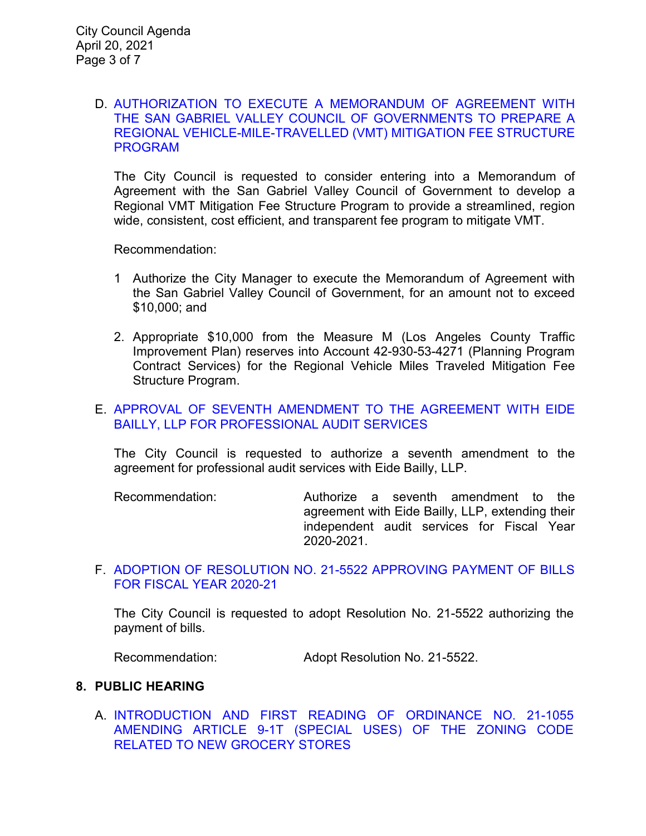### D. [AUTHORIZATION TO EXECUTE A MEMORANDUM OF AGREEMENT WITH](https://ca-templecity.civicplus.com/DocumentCenter/View/16125/7D_VMT_Staff-Report-MOA-with-SGVCOG_final)  [THE SAN GABRIEL VALLEY COUNCIL OF GOVERNMENTS TO PREPARE A](https://ca-templecity.civicplus.com/DocumentCenter/View/16125/7D_VMT_Staff-Report-MOA-with-SGVCOG_final)  [REGIONAL VEHICLE-MILE-TRAVELLED \(VMT\) MITIGATION FEE STRUCTURE](https://ca-templecity.civicplus.com/DocumentCenter/View/16125/7D_VMT_Staff-Report-MOA-with-SGVCOG_final)  [PROGRAM](https://ca-templecity.civicplus.com/DocumentCenter/View/16125/7D_VMT_Staff-Report-MOA-with-SGVCOG_final)

The City Council is requested to consider entering into a Memorandum of Agreement with the San Gabriel Valley Council of Government to develop a Regional VMT Mitigation Fee Structure Program to provide a streamlined, region wide, consistent, cost efficient, and transparent fee program to mitigate VMT.

Recommendation:

- 1 Authorize the City Manager to execute the Memorandum of Agreement with the San Gabriel Valley Council of Government, for an amount not to exceed \$10,000; and
- 2. Appropriate \$10,000 from the Measure M (Los Angeles County Traffic Improvement Plan) reserves into Account 42-930-53-4271 (Planning Program Contract Services) for the Regional Vehicle Miles Traveled Mitigation Fee Structure Program.

### E. [APPROVAL OF SEVENTH AMENDMENT TO THE AGREEMENT WITH EIDE](https://ca-templecity.civicplus.com/DocumentCenter/View/16126/7E_Eide-Bailly_Staff-Report--Seventh-Amendment-to-Agreement-with-Eide-Bailly_final)  [BAILLY, LLP FOR PROFESSIONAL AUDIT SERVICES](https://ca-templecity.civicplus.com/DocumentCenter/View/16126/7E_Eide-Bailly_Staff-Report--Seventh-Amendment-to-Agreement-with-Eide-Bailly_final)

The City Council is requested to authorize a seventh amendment to the agreement for professional audit services with Eide Bailly, LLP.

Recommendation: Authorize a seventh amendment to the agreement with Eide Bailly, LLP, extending their independent audit services for Fiscal Year 2020-2021.

### F. [ADOPTION OF RESOLUTION NO. 21-5522](https://ca-templecity.civicplus.com/DocumentCenter/View/16127/7F_CC-Warrant_Reso-No-21-5522-042021) APPROVING PAYMENT OF BILLS [FOR FISCAL YEAR 2020-21](https://ca-templecity.civicplus.com/DocumentCenter/View/16127/7F_CC-Warrant_Reso-No-21-5522-042021)

The City Council is requested to adopt Resolution No. 21-5522 authorizing the payment of bills.

Recommendation: Adopt Resolution No. 21-5522.

#### **8. PUBLIC HEARING**

A. [INTRODUCTION AND FIRST READING OF ORDINANCE NO. 21-1055](https://ca-templecity.civicplus.com/DocumentCenter/View/16128/8A_Grocery-Store_staff-report_final) [AMENDING ARTICLE 9-1T \(SPECIAL USES\) OF THE ZONING CODE](https://ca-templecity.civicplus.com/DocumentCenter/View/16128/8A_Grocery-Store_staff-report_final)  [RELATED TO NEW GROCERY STORES](https://ca-templecity.civicplus.com/DocumentCenter/View/16128/8A_Grocery-Store_staff-report_final)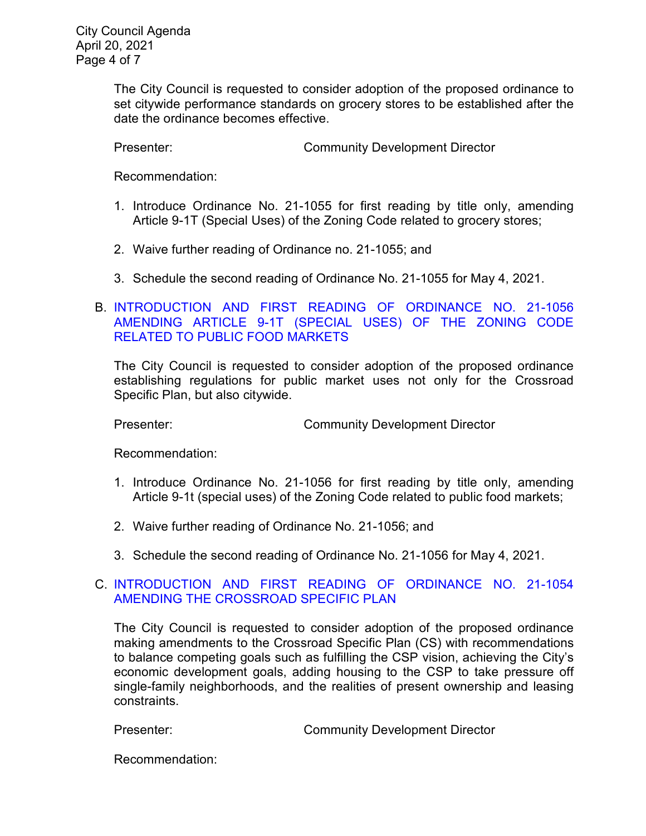The City Council is requested to consider adoption of the proposed ordinance to set citywide performance standards on grocery stores to be established after the date the ordinance becomes effective.

Presenter: Community Development Director

Recommendation:

- 1. Introduce Ordinance No. 21-1055 for first reading by title only, amending Article 9-1T (Special Uses) of the Zoning Code related to grocery stores;
- 2. Waive further reading of Ordinance no. 21-1055; and
- 3. Schedule the second reading of Ordinance No. 21-1055 for May 4, 2021.

# B. [INTRODUCTION AND FIRST READING OF ORDINANCE NO. 21-1056](https://ca-templecity.civicplus.com/DocumentCenter/View/16129/8B_Public-Food-Market_staff-report_final)  [AMENDING ARTICLE 9-1T \(SPECIAL USES\) OF THE ZONING CODE](https://ca-templecity.civicplus.com/DocumentCenter/View/16129/8B_Public-Food-Market_staff-report_final)  [RELATED TO PUBLIC FOOD MARKETS](https://ca-templecity.civicplus.com/DocumentCenter/View/16129/8B_Public-Food-Market_staff-report_final)

The City Council is requested to consider adoption of the proposed ordinance establishing regulations for public market uses not only for the Crossroad Specific Plan, but also citywide.

Presenter: Community Development Director

Recommendation:

- 1. Introduce Ordinance No. 21-1056 for first reading by title only, amending Article 9-1t (special uses) of the Zoning Code related to public food markets;
- 2. Waive further reading of Ordinance No. 21-1056; and
- 3. Schedule the second reading of Ordinance No. 21-1056 for May 4, 2021.

### C. [INTRODUCTION AND FIRST READING OF ORDINANCE NO. 21-1054](https://ca-templecity.civicplus.com/DocumentCenter/View/16130/8C_Crossroad-Specific-Plan_Staff-Report_FINAL)  [AMENDING THE CROSSROAD SPECIFIC PLAN](https://ca-templecity.civicplus.com/DocumentCenter/View/16130/8C_Crossroad-Specific-Plan_Staff-Report_FINAL)

The City Council is requested to consider adoption of the proposed ordinance making amendments to the Crossroad Specific Plan (CS) with recommendations to balance competing goals such as fulfilling the CSP vision, achieving the City's economic development goals, adding housing to the CSP to take pressure off single-family neighborhoods, and the realities of present ownership and leasing constraints.

Presenter: Community Development Director

Recommendation: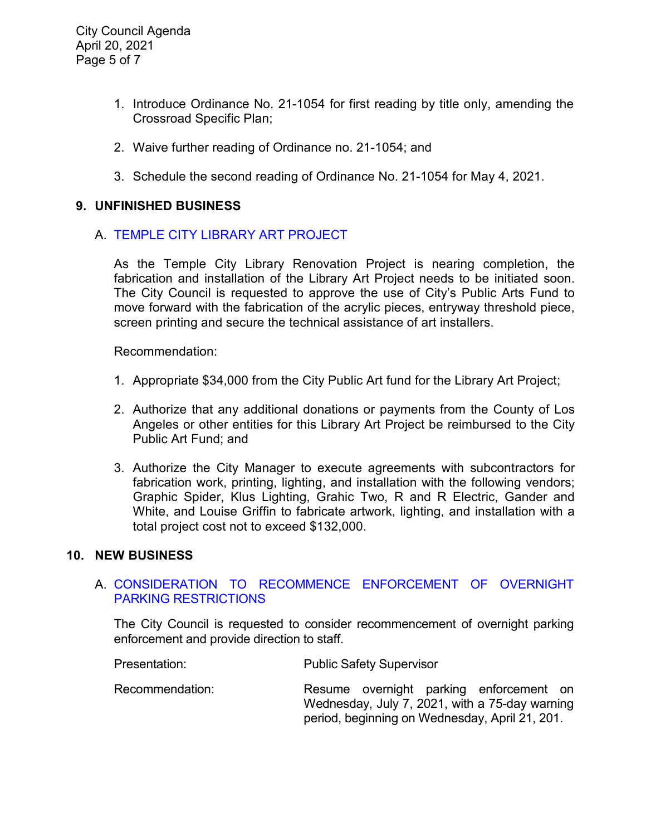- 1. Introduce Ordinance No. 21-1054 for first reading by title only, amending the Crossroad Specific Plan;
- 2. Waive further reading of Ordinance no. 21-1054; and
- 3. Schedule the second reading of Ordinance No. 21-1054 for May 4, 2021.

### **9. UNFINISHED BUSINESS**

### A. [TEMPLE CITY LIBRARY ART PROJECT](https://ca-templecity.civicplus.com/DocumentCenter/View/16131/9A_TC-Library-Art-Enhancement_Staff-Report_final)

As the Temple City Library Renovation Project is nearing completion, the fabrication and installation of the Library Art Project needs to be initiated soon. The City Council is requested to approve the use of City's Public Arts Fund to move forward with the fabrication of the acrylic pieces, entryway threshold piece, screen printing and secure the technical assistance of art installers.

Recommendation:

- 1. Appropriate \$34,000 from the City Public Art fund for the Library Art Project;
- 2. Authorize that any additional donations or payments from the County of Los Angeles or other entities for this Library Art Project be reimbursed to the City Public Art Fund; and
- 3. Authorize the City Manager to execute agreements with subcontractors for fabrication work, printing, lighting, and installation with the following vendors; Graphic Spider, Klus Lighting, Grahic Two, R and R Electric, Gander and White, and Louise Griffin to fabricate artwork, lighting, and installation with a total project cost not to exceed \$132,000.

#### **10. NEW BUSINESS**

### A. [CONSIDERATION TO RECOMMENCE ENFORCEMENT OF OVERNIGHT](https://ca-templecity.civicplus.com/DocumentCenter/View/16132/10A_Overnight-Parking_Staff-Rporrt-_final)  [PARKING RESTRICTIONS](https://ca-templecity.civicplus.com/DocumentCenter/View/16132/10A_Overnight-Parking_Staff-Rporrt-_final)

The City Council is requested to consider recommencement of overnight parking enforcement and provide direction to staff.

| Presentation:   | <b>Public Safety Supervisor</b>                                                           |
|-----------------|-------------------------------------------------------------------------------------------|
| Recommendation: | Resume overnight parking enforcement on<br>Wednesday, July 7, 2021, with a 75-day warning |

period, beginning on Wednesday, April 21, 201.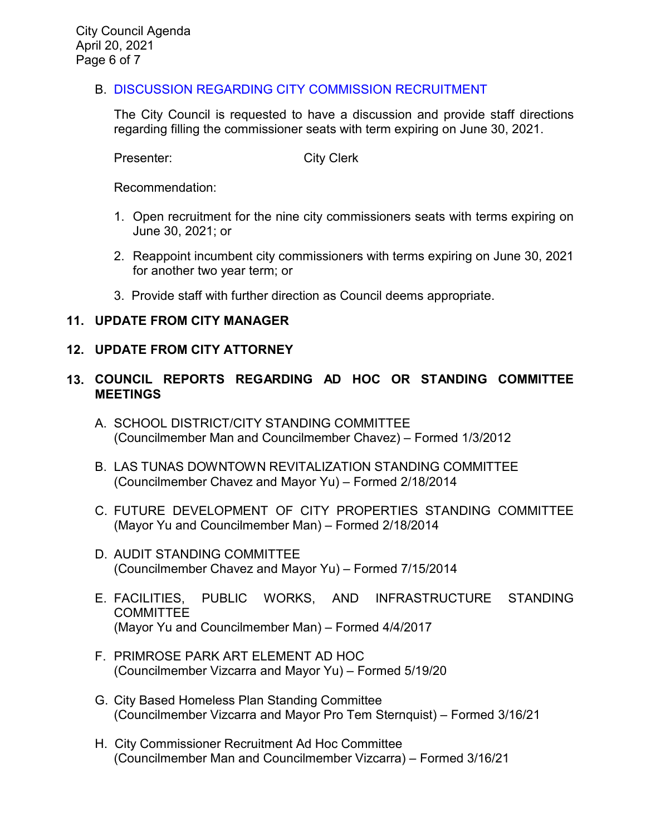# B. DISCUSSION REGARDING CITY COMMISSION [RECRUITMENT](https://ca-templecity.civicplus.com/DocumentCenter/View/16133/10B_City-Commission-Recruitment_Staff-Report_final)

The City Council is requested to have a discussion and provide staff directions regarding filling the commissioner seats with term expiring on June 30, 2021.

Presenter: City Clerk

Recommendation:

- 1. Open recruitment for the nine city commissioners seats with terms expiring on June 30, 2021; or
- 2. Reappoint incumbent city commissioners with terms expiring on June 30, 2021 for another two year term; or
- 3. Provide staff with further direction as Council deems appropriate.

# **11. UPDATE FROM CITY MANAGER**

### **12. UPDATE FROM CITY ATTORNEY**

- **13. COUNCIL REPORTS REGARDING AD HOC OR STANDING COMMITTEE MEETINGS**
	- A. SCHOOL DISTRICT/CITY STANDING COMMITTEE (Councilmember Man and Councilmember Chavez) – Formed 1/3/2012
	- B. LAS TUNAS DOWNTOWN REVITALIZATION STANDING COMMITTEE (Councilmember Chavez and Mayor Yu) – Formed 2/18/2014
	- C. FUTURE DEVELOPMENT OF CITY PROPERTIES STANDING COMMITTEE (Mayor Yu and Councilmember Man) – Formed 2/18/2014
	- D. AUDIT STANDING COMMITTEE (Councilmember Chavez and Mayor Yu) – Formed 7/15/2014
	- E. FACILITIES, PUBLIC WORKS, AND INFRASTRUCTURE STANDING **COMMITTEE** (Mayor Yu and Councilmember Man) – Formed 4/4/2017
	- F. PRIMROSE PARK ART ELEMENT AD HOC (Councilmember Vizcarra and Mayor Yu) – Formed 5/19/20
	- G. City Based Homeless Plan Standing Committee (Councilmember Vizcarra and Mayor Pro Tem Sternquist) – Formed 3/16/21
	- H. City Commissioner Recruitment Ad Hoc Committee (Councilmember Man and Councilmember Vizcarra) – Formed 3/16/21